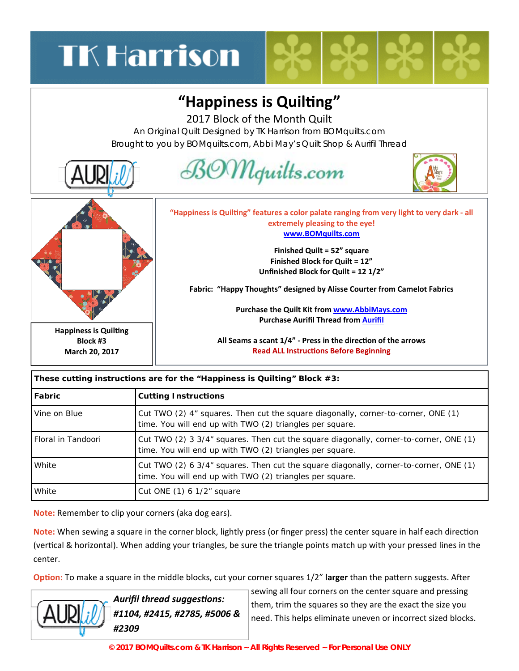## **TK Harrison**

## **"Happiness is QuilƟng"**

2017 Block of the Month Quilt

An Original Quilt Designed by TK Harrison from BOMquilts.com Brought to you by BOMquilts.com, Abbi May's Quilt Shop & Aurifil Thread



| These cutting instructions are for the "Happiness is Quilting" Block $#3$ : |                                                                                                                                                   |
|-----------------------------------------------------------------------------|---------------------------------------------------------------------------------------------------------------------------------------------------|
| Fabric                                                                      | <b>Cutting Instructions</b>                                                                                                                       |
| Vine on Blue                                                                | Cut TWO (2) 4" squares. Then cut the square diagonally, corner-to-corner, ONE (1)<br>time. You will end up with TWO (2) triangles per square.     |
| Floral in Tandoori                                                          | Cut TWO (2) 3 3/4" squares. Then cut the square diagonally, corner-to-corner, ONE (1)<br>time. You will end up with TWO (2) triangles per square. |
| White                                                                       | Cut TWO (2) 6 3/4" squares. Then cut the square diagonally, corner-to-corner, ONE (1)<br>time. You will end up with TWO (2) triangles per square. |
| White                                                                       | Cut ONE $(1)$ 6 1/2" square                                                                                                                       |

**These cutting instructions are for the "Happiness is Quilting" Block #3:** 

**Note:** Remember to clip your corners (aka dog ears).

**Note:** When sewing a square in the corner block, lightly press (or finger press) the center square in half each direction (vertical & horizontal). When adding your triangles, be sure the triangle points match up with your pressed lines in the center.

**Option:** To make a square in the middle blocks, cut your corner squares 1/2" larger than the pattern suggests. After



*Aurifil thread suggesƟons: #1104, #2415, #2785, #5006 & #2309* 

sewing all four corners on the center square and pressing them, trim the squares so they are the exact the size you need. This helps eliminate uneven or incorrect sized blocks.